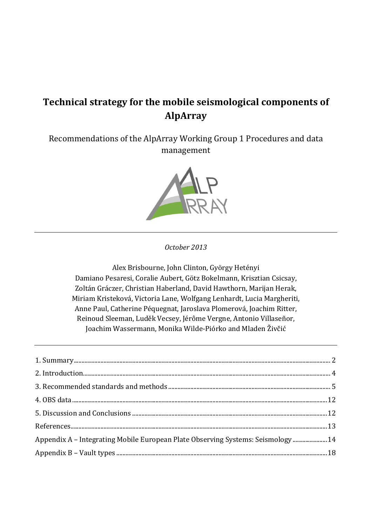# **Technical strategy for the mobile seismological components of AlpArray**

Recommendations of the AlpArray Working Group 1 Procedures and data management



## *October 2013*

Alex Brisbourne, John Clinton, György Hetényi Damiano Pesaresi, Coralie Aubert, Götz Bokelmann, Krisztian Csicsay, Zoltán Gráczer, Christian Haberland, David Hawthorn, Marijan Herak, Miriam Kristeková, Victoria Lane, Wolfgang Lenhardt, Lucia Margheriti, Anne Paul, Catherine Péquegnat, Jaroslava Plomerová, Joachim Ritter, Reinoud Sleeman, Luděk Vecsey, Jérôme Vergne, Antonio Villaseñor, Joachim Wassermann, Monika Wilde-Piórko and Mladen Živčić

| Appendix A - Integrating Mobile European Plate Observing Systems: Seismology 14 |  |
|---------------------------------------------------------------------------------|--|
|                                                                                 |  |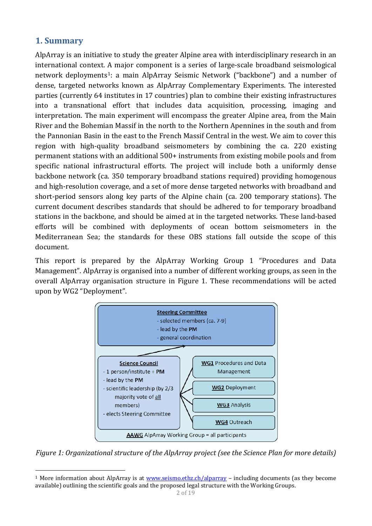# <span id="page-1-0"></span>**1. Summary**

1

AlpArray is an initiative to study the greater Alpine area with interdisciplinary research in an international context. [A](#page-1-1) major component is a series of large-scale broadband seismological network deployments<sup>1</sup>: a main AlpArray Seismic Network ("backbone") and a number of dense, targeted networks known as AlpArray Complementary Experiments. The interested parties (currently 64 institutes in 17 countries) plan to combine their existing infrastructures into a transnational effort that includes data acquisition, processing, imaging and interpretation. The main experiment will encompass the greater Alpine area, from the Main River and the Bohemian Massif in the north to the Northern Apennines in the south and from the Pannonian Basin in the east to the French Massif Central in the west. We aim to cover this region with high-quality broadband seismometers by combining the ca. 220 existing permanent stations with an additional 500+ instruments from existing mobile pools and from specific national infrastructural efforts. The project will include both a uniformly dense backbone network (ca. 350 temporary broadband stations required) providing homogenous and high-resolution coverage, and a set of more dense targeted networks with broadband and short-period sensors along key parts of the Alpine chain (ca. 200 temporary stations). The current document describes standards that should be adhered to for temporary broadband stations in the backbone, and should be aimed at in the targeted networks. These land-based efforts will be combined with deployments of ocean bottom seismometers in the Mediterranean Sea; the standards for these OBS stations fall outside the scope of this document.

This report is prepared by the AlpArray Working Group 1 "Procedures and Data Management". AlpArray is organised into a number of different working groups, as seen in the overall AlpArray organisation structure in Figure 1. These recommendations will be acted upon by WG2 "Deployment".



*Figure 1: Organizational structure of the AlpArray project (see the Science Plan for more details)*

<span id="page-1-1"></span><sup>&</sup>lt;sup>1</sup> More information about AlpArray is at [www.seismo.ethz.ch/alparray](http://www.seismo.ethz.ch/alparray) – including documents (as they become available) outlining the scientific goals and the proposed legal structure with the Working Groups.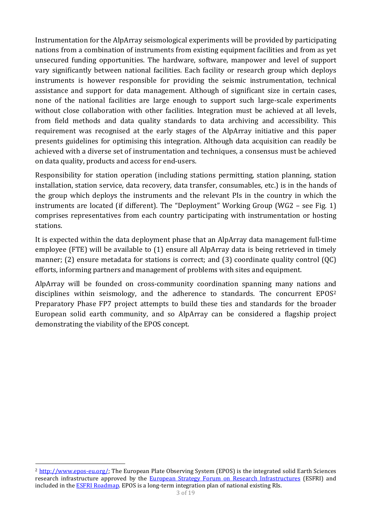Instrumentation for the AlpArray seismological experiments will be provided by participating nations from a combination of instruments from existing equipment facilities and from as yet unsecured funding opportunities. The hardware, software, manpower and level of support vary significantly between national facilities. Each facility or research group which deploys instruments is however responsible for providing the seismic instrumentation, technical assistance and support for data management. Although of significant size in certain cases, none of the national facilities are large enough to support such large-scale experiments without close collaboration with other facilities. Integration must be achieved at all levels, from field methods and data quality standards to data archiving and accessibility. This requirement was recognised at the early stages of the AlpArray initiative and this paper presents guidelines for optimising this integration. Although data acquisition can readily be achieved with a diverse set of instrumentation and techniques, a consensus must be achieved on data quality, products and access for end-users.

Responsibility for station operation (including stations permitting, station planning, station installation, station service, data recovery, data transfer, consumables, etc.) is in the hands of the group which deploys the instruments and the relevant PIs in the country in which the instruments are located (if different). The "Deployment" Working Group (WG2 – see Fig. 1) comprises representatives from each country participating with instrumentation or hosting stations.

It is expected within the data deployment phase that an AlpArray data management full-time employee (FTE) will be available to (1) ensure all AlpArray data is being retrieved in timely manner; (2) ensure metadata for stations is correct; and (3) coordinate quality control (QC) efforts, informing partners and management of problems with sites and equipment.

AlpArray will be founded on cross-community coordination spanning many nations an[d](#page-2-0)  disciplines within seismology, and the adherence to standards. The concurrent EPOS<sup>2</sup> Preparatory Phase FP7 project attempts to build these ties and standards for the broader European solid earth community, and so AlpArray can be considered a flagship project demonstrating the viability of the EPOS concept.

<span id="page-2-0"></span><sup>1</sup> <sup>2</sup> [http://www.epos-eu.org/;](http://www.epos-eu.org/) The European Plate Observing System (EPOS) is the integrated solid Earth Sciences research infrastructure approved by the [European Strategy Forum on Research Infrastructures](http://ec.europa.eu/research/infrastructures/index_en.cfm?pg=esfri) (ESFRI) and included in th[e ESFRI Roadmap.](http://ec.europa.eu/research/infrastructures/index_en.cfm?pg=esfri-roadmap) EPOS is a long-term integration plan of national existing RIs.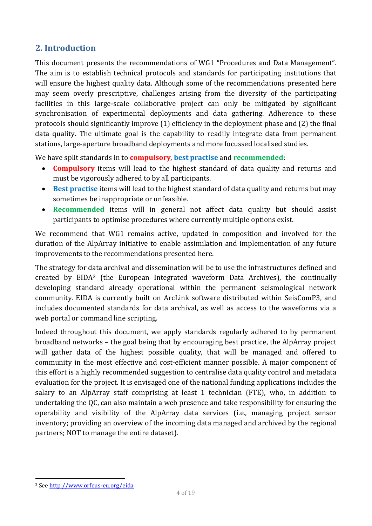# <span id="page-3-0"></span>**2. Introduction**

This document presents the recommendations of WG1 "Procedures and Data Management". The aim is to establish technical protocols and standards for participating institutions that will ensure the highest quality data. Although some of the recommendations presented here may seem overly prescriptive, challenges arising from the diversity of the participating facilities in this large-scale collaborative project can only be mitigated by significant synchronisation of experimental deployments and data gathering. Adherence to these protocols should significantly improve (1) efficiency in the deployment phase and (2) the final data quality. The ultimate goal is the capability to readily integrate data from permanent stations, large-aperture broadband deployments and more focussed localised studies.

We have split standards in to **compulsory**, **best practise** and **recommended**:

- **Compulsory** items will lead to the highest standard of data quality and returns and must be vigorously adhered to by all participants.
- **Best practise** items will lead to the highest standard of data quality and returns but may sometimes be inappropriate or unfeasible.
- **Recommended** items will in general not affect data quality but should assist participants to optimise procedures where currently multiple options exist.

We recommend that WG1 remains active, updated in composition and involved for the duration of the AlpArray initiative to enable assimilation and implementation of any future improvements to the recommendations presented here.

The strategy for d[at](#page-3-1)a archival and dissemination will be to use the infrastructures defined and created by EIDA3 (the European Integrated waveform Data Archives), the continually developing standard already operational within the permanent seismological network community. EIDA is currently built on ArcLink software distributed within SeisComP3, and includes documented standards for data archival, as well as access to the waveforms via a web portal or command line scripting.

Indeed throughout this document, we apply standards regularly adhered to by permanent broadband networks – the goal being that by encouraging best practice, the AlpArray project will gather data of the highest possible quality, that will be managed and offered to community in the most effective and cost-efficient manner possible. A major component of this effort is a highly recommended suggestion to centralise data quality control and metadata evaluation for the project. It is envisaged one of the national funding applications includes the salary to an AlpArray staff comprising at least 1 technician (FTE), who, in addition to undertaking the QC, can also maintain a web presence and take responsibility for ensuring the operability and visibility of the AlpArray data services (i.e., managing project sensor inventory; providing an overview of the incoming data managed and archived by the regional partners; NOT to manage the entire dataset).

**.** 

<span id="page-3-1"></span><sup>3</sup> Se[e http://www.orfeus-eu.org/eida](http://www.orfeus-eu.org/eida)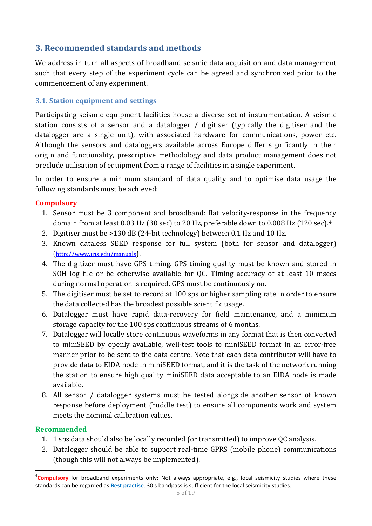# <span id="page-4-0"></span>**3. Recommended standards and methods**

We address in turn all aspects of broadband seismic data acquisition and data management such that every step of the experiment cycle can be agreed and synchronized prior to the commencement of any experiment.

## **3.1. Station equipment and settings**

Participating seismic equipment facilities house a diverse set of instrumentation. A seismic station consists of a sensor and a datalogger / digitiser (typically the digitiser and the datalogger are a single unit), with associated hardware for communications, power etc. Although the sensors and dataloggers available across Europe differ significantly in their origin and functionality, prescriptive methodology and data product management does not preclude utilisation of equipment from a range of facilities in a single experiment.

In order to ensure a minimum standard of data quality and to optimise data usage the following standards must be achieved:

## **Compulsory**

- 1. Sensor must be 3 component and broadband: flat velocity-response in the freque[nc](#page-4-1)y domain from at least 0.03 Hz (30 sec) to 20 Hz, preferable down to 0.008 Hz (120 sec).4
- 2. Digitiser must be >130 dB (24-bit technology) between 0.1 Hz and 10 Hz.
- 3. Known dataless SEED response for full system (both for sensor and datalogger) [\(http://www.iris.edu/manuals\)](http://www.iris.edu/manuals).
- 4. The digitizer must have GPS timing. GPS timing quality must be known and stored in SOH log file or be otherwise available for QC. Timing accuracy of at least 10 msecs during normal operation is required. GPS must be continuously on.
- 5. The digitiser must be set to record at 100 sps or higher sampling rate in order to ensure the data collected has the broadest possible scientific usage.
- 6. Datalogger must have rapid data-recovery for field maintenance, and a minimum storage capacity for the 100 sps continuous streams of 6 months.
- 7. Datalogger will locally store continuous waveforms in any format that is then converted to miniSEED by openly available, well-test tools to miniSEED format in an error-free manner prior to be sent to the data centre. Note that each data contributor will have to provide data to EIDA node in miniSEED format, and it is the task of the network running the station to ensure high quality miniSEED data acceptable to an EIDA node is made available.
- 8. All sensor / datalogger systems must be tested alongside another sensor of known response before deployment (huddle test) to ensure all components work and system meets the nominal calibration values.

## **Recommended**

- 1. 1 sps data should also be locally recorded (or transmitted) to improve QC analysis.
- 2. Datalogger should be able to support real-time GPRS (mobile phone) communications (though this will not always be implemented).

<span id="page-4-1"></span><sup>-&</sup>lt;br>4 **Compulsory** for broadband experiments only: Not always appropriate, e.g., local seismicity studies where these standards can be regarded as **Best practise**. 30 s bandpass is sufficient for the local seismicity studies.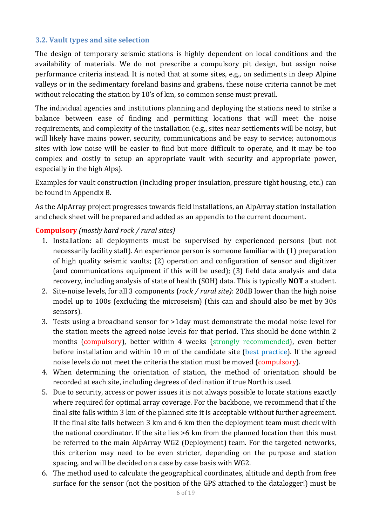### **3.2. Vault types and site selection**

The design of temporary seismic stations is highly dependent on local conditions and the availability of materials. We do not prescribe a compulsory pit design, but assign noise performance criteria instead. It is noted that at some sites, e.g., on sediments in deep Alpine valleys or in the sedimentary foreland basins and grabens, these noise criteria cannot be met without relocating the station by 10's of km, so common sense must prevail.

The individual agencies and institutions planning and deploying the stations need to strike a balance between ease of finding and permitting locations that will meet the noise requirements, and complexity of the installation (e.g., sites near settlements will be noisy, but will likely have mains power, security, communications and be easy to service; autonomous sites with low noise will be easier to find but more difficult to operate, and it may be too complex and costly to setup an appropriate vault with security and appropriate power, especially in the high Alps).

Examples for vault construction (including proper insulation, pressure tight housing, etc.) can be found in Appendix B.

As the AlpArray project progresses towards field installations, an AlpArray station installation and check sheet will be prepared and added as an appendix to the current document.

#### **Compulsory** *(mostly hard rock / rural sites)*

- 1. Installation: all deployments must be supervised by experienced persons (but not necessarily facility staff). An experience person is someone familiar with (1) preparation of high quality seismic vaults; (2) operation and configuration of sensor and digitizer (and communications equipment if this will be used); (3) field data analysis and data recovery, including analysis of state of health (SOH) data. This is typically **NOT** a student.
- 2. Site-noise levels, for all 3 components (*rock / rural site)*: 20dB lower than the high noise model up to 100s (excluding the microseism) (this can and should also be met by 30s sensors).
- 3. Tests using a broadband sensor for >1day must demonstrate the modal noise level for the station meets the agreed noise levels for that period. This should be done within 2 months (compulsory), better within 4 weeks (strongly recommended), even better before installation and within 10 m of the candidate site (best practice). If the agreed noise levels do not meet the criteria the station must be moved (compulsory).
- 4. When determining the orientation of station, the method of orientation should be recorded at each site, including degrees of declination if true North is used.
- 5. Due to security, access or power issues it is not always possible to locate stations exactly where required for optimal array coverage. For the backbone, we recommend that if the final site falls within 3 km of the planned site it is acceptable without further agreement. If the final site falls between 3 km and 6 km then the deployment team must check with the national coordinator. If the site lies >6 km from the planned location then this must be referred to the main AlpArray WG2 (Deployment) team. For the targeted networks, this criterion may need to be even stricter, depending on the purpose and station spacing, and will be decided on a case by case basis with WG2.
- 6. The method used to calculate the geographical coordinates, altitude and depth from free surface for the sensor (not the position of the GPS attached to the datalogger!) must be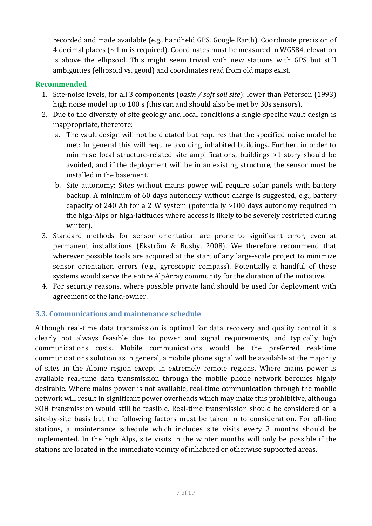recorded and made available (e.g., handheld GPS, Google Earth). Coordinate precision of 4 decimal places ( $\sim$ 1 m is required). Coordinates must be measured in WGS84, elevation is above the ellipsoid. This might seem trivial with new stations with GPS but still ambiguities (ellipsoid vs. geoid) and coordinates read from old maps exist.

## **Recommended**

- 1. Site-noise levels, for all 3 components (*basin / soft soil site*): lower than Peterson (1993) high noise model up to 100 s (this can and should also be met by 30s sensors).
- 2. Due to the diversity of site geology and local conditions a single specific vault design is inappropriate, therefore:
	- a. The vault design will not be dictated but requires that the specified noise model be met: In general this will require avoiding inhabited buildings. Further, in order to minimise local structure-related site amplifications, buildings >1 story should be avoided, and if the deployment will be in an existing structure, the sensor must be installed in the basement.
	- b. Site autonomy: Sites without mains power will require solar panels with battery backup. A minimum of 60 days autonomy without charge is suggested, e.g., battery capacity of 240 Ah for a 2 W system (potentially >100 days autonomy required in the high-Alps or high-latitudes where access is likely to be severely restricted during winter).
- 3. Standard methods for sensor orientation are prone to significant error, even at permanent installations (Ekström & Busby, 2008). We therefore recommend that wherever possible tools are acquired at the start of any large-scale project to minimize sensor orientation errors (e.g., gyroscopic compass). Potentially a handful of these systems would serve the entire AlpArray community for the duration of the initiative.
- 4. For security reasons, where possible private land should be used for deployment with agreement of the land-owner.

## **3.3. Communications and maintenance schedule**

Although real-time data transmission is optimal for data recovery and quality control it is clearly not always feasible due to power and signal requirements, and typically high communications costs. Mobile communications would be the preferred real-time communications solution as in general, a mobile phone signal will be available at the majority of sites in the Alpine region except in extremely remote regions. Where mains power is available real-time data transmission through the mobile phone network becomes highly desirable. Where mains power is not available, real-time communication through the mobile network will result in significant power overheads which may make this prohibitive, although SOH transmission would still be feasible. Real-time transmission should be considered on a site-by-site basis but the following factors must be taken in to consideration. For off-line stations, a maintenance schedule which includes site visits every 3 months should be implemented. In the high Alps, site visits in the winter months will only be possible if the stations are located in the immediate vicinity of inhabited or otherwise supported areas.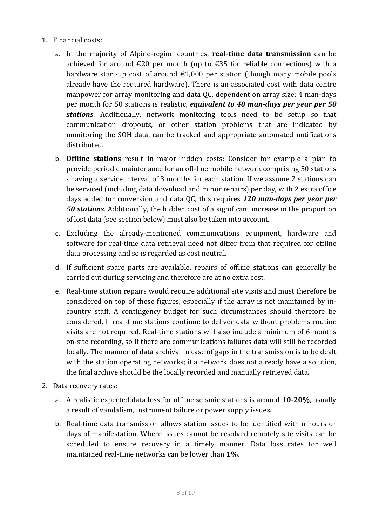- 1. Financial costs:
	- a. In the majority of Alpine-region countries, **real-time data transmission** can be achieved for around €20 per month (up to €35 for reliable connections) with a hardware start-up cost of around  $\epsilon$ 1,000 per station (though many mobile pools already have the required hardware). There is an associated cost with data centre manpower for array monitoring and data QC, dependent on array size: 4 man-days per month for 50 stations is realistic, *equivalent to 40 man-days per year per 50 stations*. Additionally, network monitoring tools need to be setup so that communication dropouts, or other station problems that are indicated by monitoring the SOH data, can be tracked and appropriate automated notifications distributed.
	- b. **Offline stations** result in major hidden costs: Consider for example a plan to provide periodic maintenance for an off-line mobile network comprising 50 stations - having a service interval of 3 months for each station. If we assume 2 stations can be serviced (including data download and minor repairs) per day, with 2 extra office days added for conversion and data QC, this requires *120 man-days per year per 50 stations*. Additionally, the hidden cost of a significant increase in the proportion of lost data (see section below) must also be taken into account.
	- c. Excluding the already-mentioned communications equipment, hardware and software for real-time data retrieval need not differ from that required for offline data processing and so is regarded as cost neutral.
	- d. If sufficient spare parts are available, repairs of offline stations can generally be carried out during servicing and therefore are at no extra cost.
	- e. Real-time station repairs would require additional site visits and must therefore be considered on top of these figures, especially if the array is not maintained by incountry staff. A contingency budget for such circumstances should therefore be considered. If real-time stations continue to deliver data without problems routine visits are not required. Real-time stations will also include a minimum of 6 months on-site recording, so if there are communications failures data will still be recorded locally. The manner of data archival in case of gaps in the transmission is to be dealt with the station operating networks; if a network does not already have a solution, the final archive should be the locally recorded and manually retrieved data.
- 2. Data recovery rates:
	- a. A realistic expected data loss for offline seismic stations is around **10-20%**, usually a result of vandalism, instrument failure or power supply issues.
	- b. Real-time data transmission allows station issues to be identified within hours or days of manifestation. Where issues cannot be resolved remotely site visits can be scheduled to ensure recovery in a timely manner. Data loss rates for well maintained real-time networks can be lower than **1%**.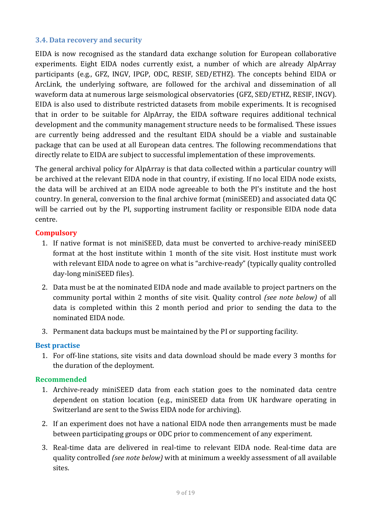#### **3.4. Data recovery and security**

EIDA is now recognised as the standard data exchange solution for European collaborative experiments. Eight EIDA nodes currently exist, a number of which are already AlpArray participants (e.g., GFZ, INGV, IPGP, ODC, RESIF, SED/ETHZ). The concepts behind EIDA or ArcLink, the underlying software, are followed for the archival and dissemination of all waveform data at numerous large seismological observatories (GFZ, SED/ETHZ, RESIF, INGV). EIDA is also used to distribute restricted datasets from mobile experiments. It is recognised that in order to be suitable for AlpArray, the EIDA software requires additional technical development and the community management structure needs to be formalised. These issues are currently being addressed and the resultant EIDA should be a viable and sustainable package that can be used at all European data centres. The following recommendations that directly relate to EIDA are subject to successful implementation of these improvements.

The general archival policy for AlpArray is that data collected within a particular country will be archived at the relevant EIDA node in that country, if existing. If no local EIDA node exists, the data will be archived at an EIDA node agreeable to both the PI's institute and the host country. In general, conversion to the final archive format (miniSEED) and associated data QC will be carried out by the PI, supporting instrument facility or responsible EIDA node data centre.

#### **Compulsory**

- 1. If native format is not miniSEED, data must be converted to archive-ready miniSEED format at the host institute within 1 month of the site visit. Host institute must work with relevant EIDA node to agree on what is "archive-ready" (typically quality controlled day-long miniSEED files).
- 2. Data must be at the nominated EIDA node and made available to project partners on the community portal within 2 months of site visit. Quality control *(see note below)* of all data is completed within this 2 month period and prior to sending the data to the nominated EIDA node.
- 3. Permanent data backups must be maintained by the PI or supporting facility.

## **Best practise**

1. For off-line stations, site visits and data download should be made every 3 months for the duration of the deployment.

#### **Recommended**

- 1. Archive-ready miniSEED data from each station goes to the nominated data centre dependent on station location (e.g., miniSEED data from UK hardware operating in Switzerland are sent to the Swiss EIDA node for archiving).
- 2. If an experiment does not have a national EIDA node then arrangements must be made between participating groups or ODC prior to commencement of any experiment.
- 3. Real-time data are delivered in real-time to relevant EIDA node. Real-time data are quality controlled *(see note below)* with at minimum a weekly assessment of all available sites.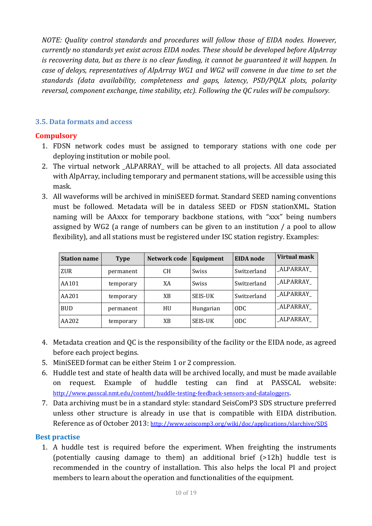*NOTE: Quality control standards and procedures will follow those of EIDA nodes. However, currently no standards yet exist across EIDA nodes. These should be developed before AlpArray is recovering data, but as there is no clear funding, it cannot be guaranteed it will happen. In case of delays, representatives of AlpArray WG1 and WG2 will convene in due time to set the standards (data availability, completeness and gaps, latency, PSD/PQLX plots, polarity reversal, component exchange, time stability, etc). Following the QC rules will be compulsory.*

## **3.5. Data formats and access**

## **Compulsory**

- 1. FDSN network codes must be assigned to temporary stations with one code per deploying institution or mobile pool.
- 2. The virtual network \_ALPARRAY\_ will be attached to all projects. All data associated with AlpArray, including temporary and permanent stations, will be accessible using this mask.
- 3. All waveforms will be archived in miniSEED format. Standard SEED naming conventions must be followed. Metadata will be in dataless SEED or FDSN stationXML. Station naming will be AAxxx for temporary backbone stations, with "xxx" being numbers assigned by WG2 (a range of numbers can be given to an institution / a pool to allow flexibility), and all stations must be registered under ISC station registry. Examples:

| <b>Station name</b> | <b>Type</b> | Network code | Equipment      | <b>EIDA</b> node | <b>Virtual mask</b> |
|---------------------|-------------|--------------|----------------|------------------|---------------------|
| <b>ZUR</b>          | permanent   | <b>CH</b>    | <b>Swiss</b>   | Switzerland      | ALPARRAY            |
| AA101               | temporary   | XA           | <b>Swiss</b>   | Switzerland      | ALPARRAY            |
| AA201               | temporary   | XB           | <b>SEIS-UK</b> | Switzerland      | ALPARRAY            |
| <b>BUD</b>          | permanent   | HU           | Hungarian      | ODC.             | ALPARRAY            |
| AA202               | temporary   | XB           | <b>SEIS-UK</b> | ODC.             | ALPARRAY            |

- 4. Metadata creation and QC is the responsibility of the facility or the EIDA node, as agreed before each project begins.
- 5. MiniSEED format can be either Steim 1 or 2 compression.
- 6. Huddle test and state of health data will be archived locally, and must be made available on request. Example of huddle testing can find at PASSCAL website: [http://www.passcal.nmt.edu/content/huddle-testing-feedback-sensors-and-dataloggers.](http://www.passcal.nmt.edu/content/huddle-testing-feedback-sensors-and-dataloggers)
- 7. Data archiving must be in a standard style: standard SeisComP3 SDS structure preferred unless other structure is already in use that is compatible with EIDA distribution. Reference as of October 2013:<http://www.seiscomp3.org/wiki/doc/applications/slarchive/SDS>

## **Best practise**

1. A huddle test is required before the experiment. When freighting the instruments (potentially causing damage to them) an additional brief (>12h) huddle test is recommended in the country of installation. This also helps the local PI and project members to learn about the operation and functionalities of the equipment.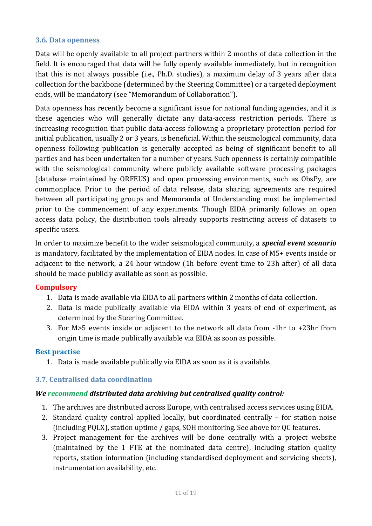#### **3.6. Data openness**

Data will be openly available to all project partners within 2 months of data collection in the field. It is encouraged that data will be fully openly available immediately, but in recognition that this is not always possible (i.e., Ph.D. studies), a maximum delay of 3 years after data collection for the backbone (determined by the Steering Committee) or a targeted deployment ends, will be mandatory (see "Memorandum of Collaboration").

Data openness has recently become a significant issue for national funding agencies, and it is these agencies who will generally dictate any data-access restriction periods. There is increasing recognition that public data-access following a proprietary protection period for initial publication, usually 2 or 3 years, is beneficial. Within the seismological community, data openness following publication is generally accepted as being of significant benefit to all parties and has been undertaken for a number of years. Such openness is certainly compatible with the seismological community where publicly available software processing packages (database maintained by ORFEUS) and open processing environments, such as ObsPy, are commonplace. Prior to the period of data release, data sharing agreements are required between all participating groups and Memoranda of Understanding must be implemented prior to the commencement of any experiments. Though EIDA primarily follows an open access data policy, the distribution tools already supports restricting access of datasets to specific users.

In order to maximize benefit to the wider seismological community, a *special event scenario* is mandatory, facilitated by the implementation of EIDA nodes. In case of M5+ events inside or adjacent to the network, a 24 hour window (1h before event time to 23h after) of all data should be made publicly available as soon as possible.

## **Compulsory**

- 1. Data is made available via EIDA to all partners within 2 months of data collection.
- 2. Data is made publically available via EIDA within 3 years of end of experiment, as determined by the Steering Committee.
- 3. For M>5 events inside or adjacent to the network all data from -1hr to +23hr from origin time is made publically available via EIDA as soon as possible.

#### **Best practise**

1. Data is made available publically via EIDA as soon as it is available.

## **3.7. Centralised data coordination**

## *We recommend distributed data archiving but centralised quality control:*

- 1. The archives are distributed across Europe, with centralised access services using EIDA.
- 2. Standard quality control applied locally, but coordinated centrally for station noise (including PQLX), station uptime / gaps, SOH monitoring. See above for QC features.
- 3. Project management for the archives will be done centrally with a project website (maintained by the 1 FTE at the nominated data centre), including station quality reports, station information (including standardised deployment and servicing sheets), instrumentation availability, etc.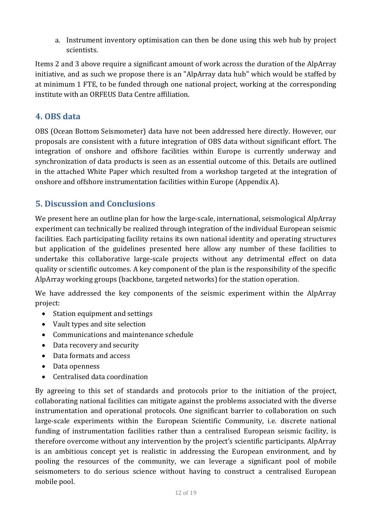a. Instrument inventory optimisation can then be done using this web hub by project scientists.

Items 2 and 3 above require a significant amount of work across the duration of the AlpArray initiative, and as such we propose there is an "AlpArray data hub" which would be staffed by at minimum 1 FTE, to be funded through one national project, working at the corresponding institute with an ORFEUS Data Centre affiliation.

# <span id="page-11-0"></span>**4. OBS data**

OBS (Ocean Bottom Seismometer) data have not been addressed here directly. However, our proposals are consistent with a future integration of OBS data without significant effort. The integration of onshore and offshore facilities within Europe is currently underway and synchronization of data products is seen as an essential outcome of this. Details are outlined in the attached White Paper which resulted from a workshop targeted at the integration of onshore and offshore instrumentation facilities within Europe (Appendix A).

# <span id="page-11-1"></span>**5. Discussion and Conclusions**

We present here an outline plan for how the large-scale, international, seismological AlpArray experiment can technically be realized through integration of the individual European seismic facilities. Each participating facility retains its own national identity and operating structures but application of the guidelines presented here allow any number of these facilities to undertake this collaborative large-scale projects without any detrimental effect on data quality or scientific outcomes. A key component of the plan is the responsibility of the specific AlpArray working groups (backbone, targeted networks) for the station operation.

We have addressed the key components of the seismic experiment within the AlpArray project:

- Station equipment and settings
- Vault types and site selection
- Communications and maintenance schedule
- Data recovery and security
- Data formats and access
- Data openness
- Centralised data coordination

By agreeing to this set of standards and protocols prior to the initiation of the project, collaborating national facilities can mitigate against the problems associated with the diverse instrumentation and operational protocols. One significant barrier to collaboration on such large-scale experiments within the European Scientific Community, i.e. discrete national funding of instrumentation facilities rather than a centralised European seismic facility, is therefore overcome without any intervention by the project's scientific participants. AlpArray is an ambitious concept yet is realistic in addressing the European environment, and by pooling the resources of the community, we can leverage a significant pool of mobile seismometers to do serious science without having to construct a centralised European mobile pool.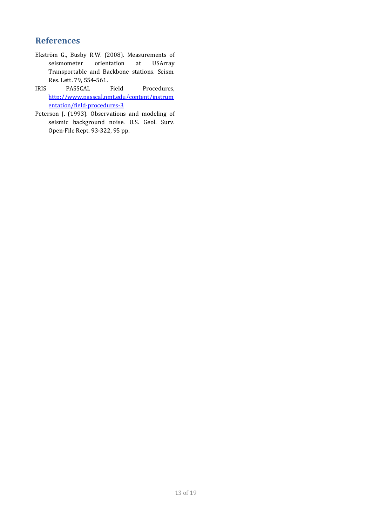## <span id="page-12-0"></span>**References**

- Ekström G., Busby R.W. (2008). Measurements of seismometer orientation at USArray Transportable and Backbone stations. Seism. Res. Lett. 79, 554-561.
- IRIS PASSCAL Field Procedures, [http://www.passcal.nmt.edu/content/instrum](http://www.passcal.nmt.edu/content/instrumentation/field-procedures-3) [entation/field-procedures-3](http://www.passcal.nmt.edu/content/instrumentation/field-procedures-3)
- Peterson J. (1993). Observations and modeling of seismic background noise. U.S. Geol. Surv. Open-File Rept. 93-322, 95 pp.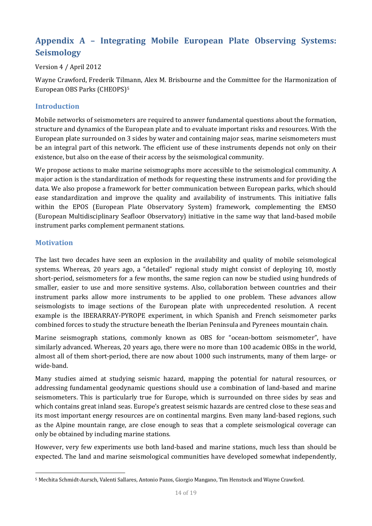# <span id="page-13-0"></span>**Appendix A – Integrating Mobile European Plate Observing Systems: Seismology**

Version 4 / April 2012

Wayne Crawford, Frederik Til[m](#page-13-1)ann, Alex M. Brisbourne and the Committee for the Harmonization of European OBS Parks (CHEOPS)5

#### **Introduction**

Mobile networks of seismometers are required to answer fundamental questions about the formation, structure and dynamics of the European plate and to evaluate important risks and resources. With the European plate surrounded on 3 sides by water and containing major seas, marine seismometers must be an integral part of this network. The efficient use of these instruments depends not only on their existence, but also on the ease of their access by the seismological community.

We propose actions to make marine seismographs more accessible to the seismological community. A major action is the standardization of methods for requesting these instruments and for providing the data. We also propose a framework for better communication between European parks, which should ease standardization and improve the quality and availability of instruments. This initiative falls within the EPOS (European Plate Observatory System) framework, complementing the EMSO (European Multidisciplinary Seafloor Observatory) initiative in the same way that land-based mobile instrument parks complement permanent stations.

#### **Motivation**

The last two decades have seen an explosion in the availability and quality of mobile seismological systems. Whereas, 20 years ago, a "detailed" regional study might consist of deploying 10, mostly short-period, seismometers for a few months, the same region can now be studied using hundreds of smaller, easier to use and more sensitive systems. Also, collaboration between countries and their instrument parks allow more instruments to be applied to one problem. These advances allow seismologists to image sections of the European plate with unprecedented resolution. A recent example is the IBERARRAY-PYROPE experiment, in which Spanish and French seismometer parks combined forces to study the structure beneath the Iberian Peninsula and Pyrenees mountain chain.

Marine seismograph stations, commonly known as OBS for "ocean-bottom seismometer", have similarly advanced. Whereas, 20 years ago, there were no more than 100 academic OBSs in the world, almost all of them short-period, there are now about 1000 such instruments, many of them large- or wide-band.

Many studies aimed at studying seismic hazard, mapping the potential for natural resources, or addressing fundamental geodynamic questions should use a combination of land-based and marine seismometers. This is particularly true for Europe, which is surrounded on three sides by seas and which contains great inland seas. Europe's greatest seismic hazards are centred close to these seas and its most important energy resources are on continental margins. Even many land-based regions, such as the Alpine mountain range, are close enough to seas that a complete seismological coverage can only be obtained by including marine stations.

However, very few experiments use both land-based and marine stations, much less than should be expected. The land and marine seismological communities have developed somewhat independently,

<span id="page-13-1"></span><sup>1</sup> <sup>5</sup> Mechita Schmidt-Aursch, Valenti Sallares, Antonio Pazos, Giorgio Mangano, Tim Henstock and Wayne Crawford.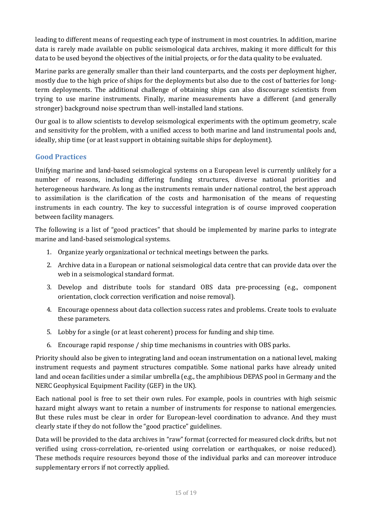leading to different means of requesting each type of instrument in most countries. In addition, marine data is rarely made available on public seismological data archives, making it more difficult for this data to be used beyond the objectives of the initial projects, or for the data quality to be evaluated.

Marine parks are generally smaller than their land counterparts, and the costs per deployment higher, mostly due to the high price of ships for the deployments but also due to the cost of batteries for longterm deployments. The additional challenge of obtaining ships can also discourage scientists from trying to use marine instruments. Finally, marine measurements have a different (and generally stronger) background noise spectrum than well-installed land stations.

Our goal is to allow scientists to develop seismological experiments with the optimum geometry, scale and sensitivity for the problem, with a unified access to both marine and land instrumental pools and, ideally, ship time (or at least support in obtaining suitable ships for deployment).

#### **Good Practices**

Unifying marine and land-based seismological systems on a European level is currently unlikely for a number of reasons, including differing funding structures, diverse national priorities and heterogeneous hardware. As long as the instruments remain under national control, the best approach to assimilation is the clarification of the costs and harmonisation of the means of requesting instruments in each country. The key to successful integration is of course improved cooperation between facility managers.

The following is a list of "good practices" that should be implemented by marine parks to integrate marine and land-based seismological systems.

- 1. Organize yearly organizational or technical meetings between the parks.
- 2. Archive data in a European or national seismological data centre that can provide data over the web in a seismological standard format.
- 3. Develop and distribute tools for standard OBS data pre-processing (e.g., component orientation, clock correction verification and noise removal).
- 4. Encourage openness about data collection success rates and problems. Create tools to evaluate these parameters.
- 5. Lobby for a single (or at least coherent) process for funding and ship time.
- 6. Encourage rapid response / ship time mechanisms in countries with OBS parks.

Priority should also be given to integrating land and ocean instrumentation on a national level, making instrument requests and payment structures compatible. Some national parks have already united land and ocean facilities under a similar umbrella (e.g., the amphibious DEPAS pool in Germany and the NERC Geophysical Equipment Facility (GEF) in the UK).

Each national pool is free to set their own rules. For example, pools in countries with high seismic hazard might always want to retain a number of instruments for response to national emergencies. But these rules must be clear in order for European-level coordination to advance. And they must clearly state if they do not follow the "good practice" guidelines.

Data will be provided to the data archives in "raw" format (corrected for measured clock drifts, but not verified using cross-correlation, re-oriented using correlation or earthquakes, or noise reduced). These methods require resources beyond those of the individual parks and can moreover introduce supplementary errors if not correctly applied.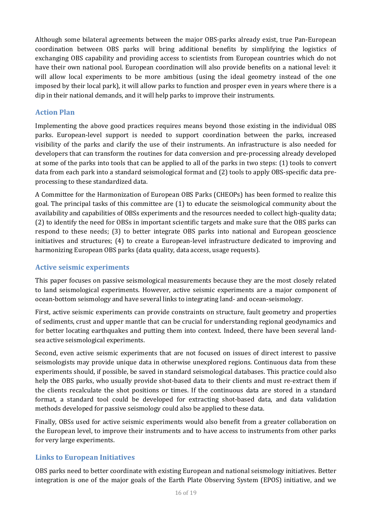Although some bilateral agreements between the major OBS-parks already exist, true Pan-European coordination between OBS parks will bring additional benefits by simplifying the logistics of exchanging OBS capability and providing access to scientists from European countries which do not have their own national pool. European coordination will also provide benefits on a national level: it will allow local experiments to be more ambitious (using the ideal geometry instead of the one imposed by their local park), it will allow parks to function and prosper even in years where there is a dip in their national demands, and it will help parks to improve their instruments.

#### **Action Plan**

Implementing the above good practices requires means beyond those existing in the individual OBS parks. European-level support is needed to support coordination between the parks, increased visibility of the parks and clarify the use of their instruments. An infrastructure is also needed for developers that can transform the routines for data conversion and pre-processing already developed at some of the parks into tools that can be applied to all of the parks in two steps: (1) tools to convert data from each park into a standard seismological format and (2) tools to apply OBS-specific data preprocessing to these standardized data.

A Committee for the Harmonization of European OBS Parks (CHEOPs) has been formed to realize this goal. The principal tasks of this committee are (1) to educate the seismological community about the availability and capabilities of OBSs experiments and the resources needed to collect high-quality data; (2) to identify the need for OBSs in important scientific targets and make sure that the OBS parks can respond to these needs; (3) to better integrate OBS parks into national and European geoscience initiatives and structures; (4) to create a European-level infrastructure dedicated to improving and harmonizing European OBS parks (data quality, data access, usage requests).

#### **Active seismic experiments**

This paper focuses on passive seismological measurements because they are the most closely related to land seismological experiments. However, active seismic experiments are a major component of ocean-bottom seismology and have several links to integrating land- and ocean-seismology.

First, active seismic experiments can provide constraints on structure, fault geometry and properties of sediments, crust and upper mantle that can be crucial for understanding regional geodynamics and for better locating earthquakes and putting them into context. Indeed, there have been several landsea active seismological experiments.

Second, even active seismic experiments that are not focused on issues of direct interest to passive seismologists may provide unique data in otherwise unexplored regions. Continuous data from these experiments should, if possible, be saved in standard seismological databases. This practice could also help the OBS parks, who usually provide shot-based data to their clients and must re-extract them if the clients recalculate the shot positions or times. If the continuous data are stored in a standard format, a standard tool could be developed for extracting shot-based data, and data validation methods developed for passive seismology could also be applied to these data.

Finally, OBSs used for active seismic experiments would also benefit from a greater collaboration on the European level, to improve their instruments and to have access to instruments from other parks for very large experiments.

#### **Links to European Initiatives**

OBS parks need to better coordinate with existing European and national seismology initiatives. Better integration is one of the major goals of the Earth Plate Observing System (EPOS) initiative, and we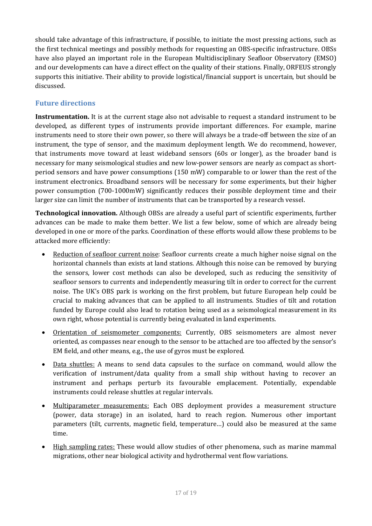should take advantage of this infrastructure, if possible, to initiate the most pressing actions, such as the first technical meetings and possibly methods for requesting an OBS-specific infrastructure. OBSs have also played an important role in the European Multidisciplinary Seafloor Observatory (EMSO) and our developments can have a direct effect on the quality of their stations. Finally, ORFEUS strongly supports this initiative. Their ability to provide logistical/financial support is uncertain, but should be discussed.

## **Future directions**

**Instrumentation.** It is at the current stage also not advisable to request a standard instrument to be developed, as different types of instruments provide important differences. For example, marine instruments need to store their own power, so there will always be a trade-off between the size of an instrument, the type of sensor, and the maximum deployment length. We do recommend, however, that instruments move toward at least wideband sensors (60s or longer), as the broader band is necessary for many seismological studies and new low-power sensors are nearly as compact as shortperiod sensors and have power consumptions (150 mW) comparable to or lower than the rest of the instrument electronics. Broadband sensors will be necessary for some experiments, but their higher power consumption (700-1000mW) significantly reduces their possible deployment time and their larger size can limit the number of instruments that can be transported by a research vessel.

**Technological innovation.** Although OBSs are already a useful part of scientific experiments, further advances can be made to make them better. We list a few below, some of which are already being developed in one or more of the parks. Coordination of these efforts would allow these problems to be attacked more efficiently:

- Reduction of seafloor current noise: Seafloor currents create a much higher noise signal on the horizontal channels than exists at land stations. Although this noise can be removed by burying the sensors, lower cost methods can also be developed, such as reducing the sensitivity of seafloor sensors to currents and independently measuring tilt in order to correct for the current noise. The UK's OBS park is working on the first problem, but future European help could be crucial to making advances that can be applied to all instruments. Studies of tilt and rotation funded by Europe could also lead to rotation being used as a seismological measurement in its own right, whose potential is currently being evaluated in land experiments.
- Orientation of seismometer components: Currently, OBS seismometers are almost never oriented, as compasses near enough to the sensor to be attached are too affected by the sensor's EM field, and other means, e.g., the use of gyros must be explored.
- Data shuttles: A means to send data capsules to the surface on command, would allow the verification of instrument/data quality from a small ship without having to recover an instrument and perhaps perturb its favourable emplacement. Potentially, expendable instruments could release shuttles at regular intervals.
- Multiparameter measurements: Each OBS deployment provides a measurement structure (power, data storage) in an isolated, hard to reach region. Numerous other important parameters (tilt, currents, magnetic field, temperature…) could also be measured at the same time.
- High sampling rates: These would allow studies of other phenomena, such as marine mammal migrations, other near biological activity and hydrothermal vent flow variations.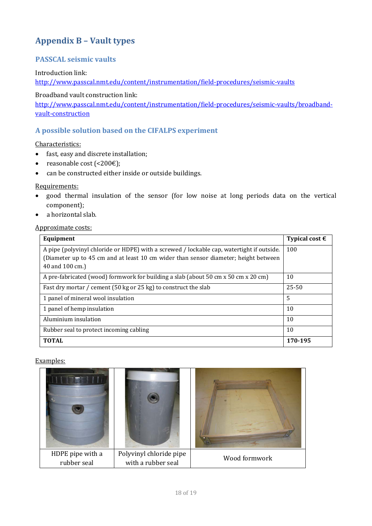# <span id="page-17-0"></span>**Appendix B – Vault types**

#### **PASSCAL seismic vaults**

Introduction link:

<http://www.passcal.nmt.edu/content/instrumentation/field-procedures/seismic-vaults>

Broadband vault construction link:

[http://www.passcal.nmt.edu/content/instrumentation/field-procedures/seismic-vaults/broadband](http://www.passcal.nmt.edu/content/instrumentation/field-procedures/seismic-vaults/broadband-vault-construction)[vault-construction](http://www.passcal.nmt.edu/content/instrumentation/field-procedures/seismic-vaults/broadband-vault-construction)

#### **A possible solution based on the CIFALPS experiment**

Characteristics:

- fast, easy and discrete installation;
- reasonable cost  $(\leq 200 \epsilon)$ ;
- can be constructed either inside or outside buildings.

#### Requirements:

- good thermal insulation of the sensor (for low noise at long periods data on the vertical component);
- a horizontal slab.

#### Approximate costs:

| Equipment                                                                                                                                                                        | Typical cost $\epsilon$ |
|----------------------------------------------------------------------------------------------------------------------------------------------------------------------------------|-------------------------|
| A pipe (polyvinyl chloride or HDPE) with a screwed / lockable cap, watertight if outside.<br>(Diameter up to 45 cm and at least 10 cm wider than sensor diameter; height between | 100                     |
| 40 and 100 cm.)                                                                                                                                                                  |                         |
| A pre-fabricated (wood) formwork for building a slab (about 50 cm x 50 cm x 20 cm)                                                                                               | 10                      |
| Fast dry mortar / cement (50 kg or 25 kg) to construct the slab                                                                                                                  | $25 - 50$               |
| 1 panel of mineral wool insulation                                                                                                                                               | 5                       |
| 1 panel of hemp insulation                                                                                                                                                       | 10                      |
| Aluminium insulation                                                                                                                                                             | 10                      |
| Rubber seal to protect incoming cabling                                                                                                                                          | 10                      |
| <b>TOTAL</b>                                                                                                                                                                     | 170-195                 |

#### Examples: